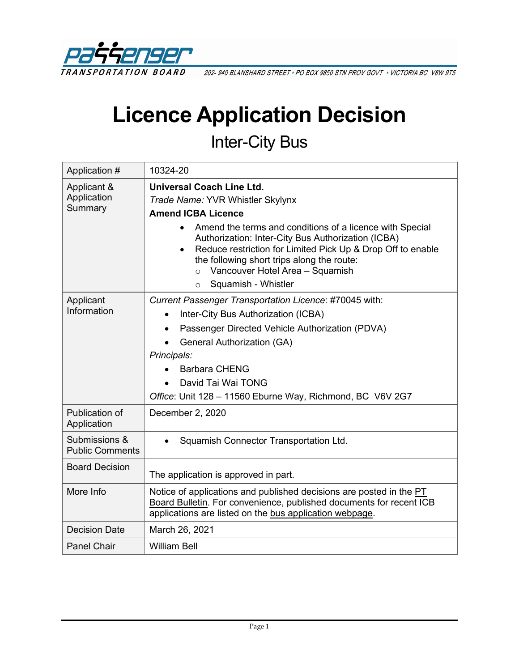

202-940 BLANSHARD STREET · PO BOX 9850 STN PROV GOVT · VICTORIA BC V8W 9T5

# **Licence Application Decision**

## Inter-City Bus

| Application #                           | 10324-20                                                                                                                                                                                                                                                                                                                                                                                                                      |  |
|-----------------------------------------|-------------------------------------------------------------------------------------------------------------------------------------------------------------------------------------------------------------------------------------------------------------------------------------------------------------------------------------------------------------------------------------------------------------------------------|--|
| Applicant &<br>Application<br>Summary   | <b>Universal Coach Line Ltd.</b><br>Trade Name: YVR Whistler Skylynx<br><b>Amend ICBA Licence</b><br>Amend the terms and conditions of a licence with Special<br>Authorization: Inter-City Bus Authorization (ICBA)<br>Reduce restriction for Limited Pick Up & Drop Off to enable<br>$\bullet$<br>the following short trips along the route:<br>Vancouver Hotel Area - Squamish<br>$\circ$<br>Squamish - Whistler<br>$\circ$ |  |
| Applicant<br>Information                | Current Passenger Transportation Licence: #70045 with:<br>Inter-City Bus Authorization (ICBA)<br>Passenger Directed Vehicle Authorization (PDVA)<br>$\bullet$<br><b>General Authorization (GA)</b><br>Principals:<br><b>Barbara CHENG</b><br>David Tai Wai TONG<br>Office: Unit 128 - 11560 Eburne Way, Richmond, BC V6V 2G7                                                                                                  |  |
| Publication of<br>Application           | December 2, 2020                                                                                                                                                                                                                                                                                                                                                                                                              |  |
| Submissions &<br><b>Public Comments</b> | Squamish Connector Transportation Ltd.                                                                                                                                                                                                                                                                                                                                                                                        |  |
| <b>Board Decision</b>                   | The application is approved in part.                                                                                                                                                                                                                                                                                                                                                                                          |  |
| More Info                               | Notice of applications and published decisions are posted in the PT<br>Board Bulletin. For convenience, published documents for recent ICB<br>applications are listed on the bus application webpage.                                                                                                                                                                                                                         |  |
| <b>Decision Date</b>                    | March 26, 2021                                                                                                                                                                                                                                                                                                                                                                                                                |  |
| <b>Panel Chair</b>                      | <b>William Bell</b>                                                                                                                                                                                                                                                                                                                                                                                                           |  |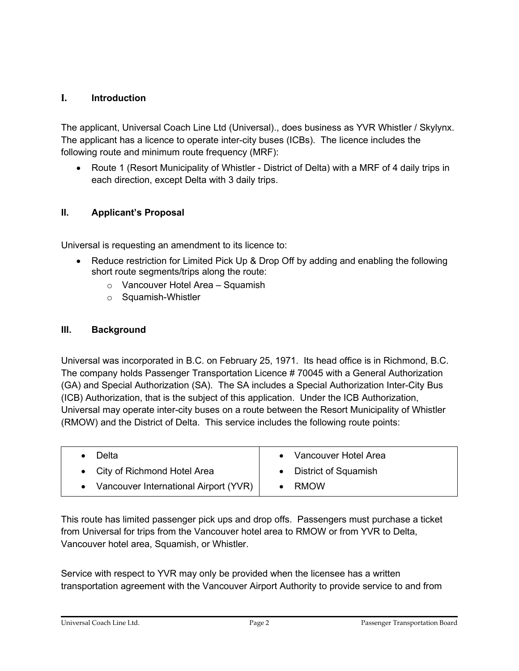### **I. Introduction**

The applicant, Universal Coach Line Ltd (Universal)., does business as YVR Whistler / Skylynx. The applicant has a licence to operate inter-city buses (ICBs). The licence includes the following route and minimum route frequency (MRF):

• Route 1 (Resort Municipality of Whistler - District of Delta) with a MRF of 4 daily trips in each direction, except Delta with 3 daily trips.

### **II. Applicant's Proposal**

Universal is requesting an amendment to its licence to:

- Reduce restriction for Limited Pick Up & Drop Off by adding and enabling the following short route segments/trips along the route:
	- o Vancouver Hotel Area Squamish
	- o Squamish-Whistler

### **III. Background**

Universal was incorporated in B.C. on February 25, 1971. Its head office is in Richmond, B.C. The company holds Passenger Transportation Licence # 70045 with a General Authorization (GA) and Special Authorization (SA). The SA includes a Special Authorization Inter-City Bus (ICB) Authorization, that is the subject of this application. Under the ICB Authorization, Universal may operate inter-city buses on a route between the Resort Municipality of Whistler (RMOW) and the District of Delta. This service includes the following route points:

| Delta                                 | Vancouver Hotel Area   |
|---------------------------------------|------------------------|
| • City of Richmond Hotel Area         | • District of Squamish |
| Vancouver International Airport (YVR) | RMOW                   |

This route has limited passenger pick ups and drop offs. Passengers must purchase a ticket from Universal for trips from the Vancouver hotel area to RMOW or from YVR to Delta, Vancouver hotel area, Squamish, or Whistler.

Service with respect to YVR may only be provided when the licensee has a written transportation agreement with the Vancouver Airport Authority to provide service to and from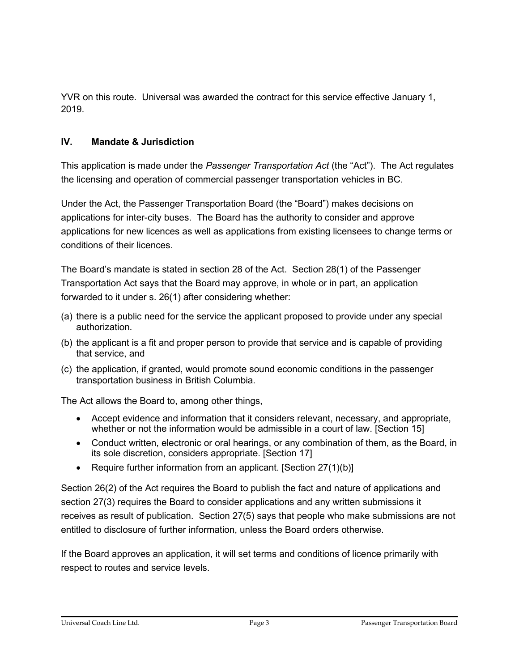YVR on this route. Universal was awarded the contract for this service effective January 1, 2019.

### **IV. Mandate & Jurisdiction**

This application is made under the *Passenger Transportation Act* (the "Act"). The Act regulates the licensing and operation of commercial passenger transportation vehicles in BC.

Under the Act, the Passenger Transportation Board (the "Board") makes decisions on applications for inter-city buses. The Board has the authority to consider and approve applications for new licences as well as applications from existing licensees to change terms or conditions of their licences.

The Board's mandate is stated in section 28 of the Act. Section 28(1) of the Passenger Transportation Act says that the Board may approve, in whole or in part, an application forwarded to it under s. 26(1) after considering whether:

- (a) there is a public need for the service the applicant proposed to provide under any special authorization.
- (b) the applicant is a fit and proper person to provide that service and is capable of providing that service, and
- (c) the application, if granted, would promote sound economic conditions in the passenger transportation business in British Columbia.

The Act allows the Board to, among other things,

- Accept evidence and information that it considers relevant, necessary, and appropriate, whether or not the information would be admissible in a court of law. [Section 15]
- Conduct written, electronic or oral hearings, or any combination of them, as the Board, in its sole discretion, considers appropriate. [Section 17]
- Require further information from an applicant. [Section  $27(1)(b)$ ]

Section 26(2) of the Act requires the Board to publish the fact and nature of applications and section 27(3) requires the Board to consider applications and any written submissions it receives as result of publication. Section 27(5) says that people who make submissions are not entitled to disclosure of further information, unless the Board orders otherwise.

If the Board approves an application, it will set terms and conditions of licence primarily with respect to routes and service levels.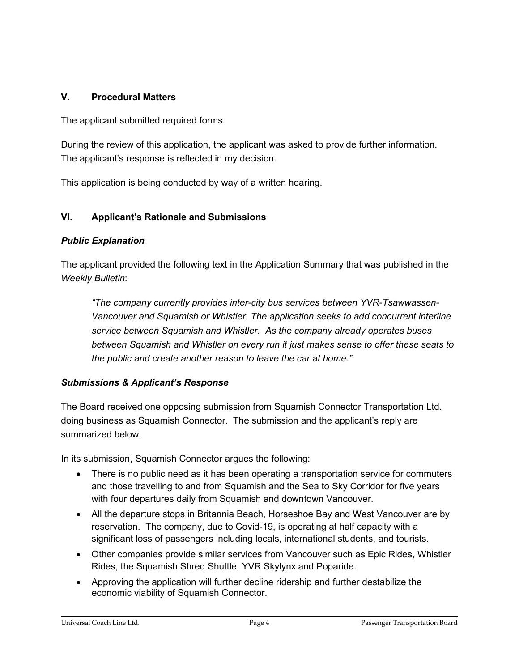### **V. Procedural Matters**

The applicant submitted required forms.

During the review of this application, the applicant was asked to provide further information. The applicant's response is reflected in my decision.

This application is being conducted by way of a written hearing.

### **VI. Applicant's Rationale and Submissions**

### *Public Explanation*

The applicant provided the following text in the Application Summary that was published in the *Weekly Bulletin*:

*"The company currently provides inter-city bus services between YVR-Tsawwassen-Vancouver and Squamish or Whistler. The application seeks to add concurrent interline service between Squamish and Whistler. As the company already operates buses between Squamish and Whistler on every run it just makes sense to offer these seats to the public and create another reason to leave the car at home."*

### *Submissions & Applicant's Response*

The Board received one opposing submission from Squamish Connector Transportation Ltd. doing business as Squamish Connector. The submission and the applicant's reply are summarized below.

In its submission, Squamish Connector argues the following:

- There is no public need as it has been operating a transportation service for commuters and those travelling to and from Squamish and the Sea to Sky Corridor for five years with four departures daily from Squamish and downtown Vancouver.
- All the departure stops in Britannia Beach, Horseshoe Bay and West Vancouver are by reservation. The company, due to Covid-19, is operating at half capacity with a significant loss of passengers including locals, international students, and tourists.
- Other companies provide similar services from Vancouver such as Epic Rides, Whistler Rides, the Squamish Shred Shuttle, YVR Skylynx and Poparide.
- Approving the application will further decline ridership and further destabilize the economic viability of Squamish Connector.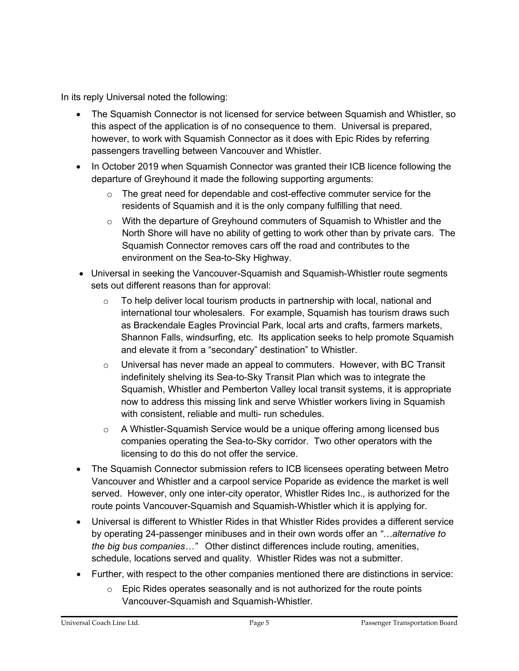In its reply Universal noted the following:

- The Squamish Connector is not licensed for service between Squamish and Whistler, so this aspect of the application is of no consequence to them. Universal is prepared, however, to work with Squamish Connector as it does with Epic Rides by referring passengers travelling between Vancouver and Whistler.
- In October 2019 when Squamish Connector was granted their ICB licence following the departure of Greyhound it made the following supporting arguments:
	- $\circ$  The great need for dependable and cost-effective commuter service for the residents of Squamish and it is the only company fulfilling that need.
	- $\circ$  With the departure of Greyhound commuters of Squamish to Whistler and the North Shore will have no ability of getting to work other than by private cars. The Squamish Connector removes cars off the road and contributes to the environment on the Sea-to-Sky Highway.
- Universal in seeking the Vancouver-Squamish and Squamish-Whistler route segments sets out different reasons than for approval:
	- $\circ$  To help deliver local tourism products in partnership with local, national and international tour wholesalers. For example, Squamish has tourism draws such as Brackendale Eagles Provincial Park, local arts and crafts, farmers markets, Shannon Falls, windsurfing, etc. Its application seeks to help promote Squamish and elevate it from a "secondary" destination" to Whistler.
	- $\circ$  Universal has never made an appeal to commuters. However, with BC Transit indefinitely shelving its Sea-to-Sky Transit Plan which was to integrate the Squamish, Whistler and Pemberton Valley local transit systems, it is appropriate now to address this missing link and serve Whistler workers living in Squamish with consistent, reliable and multi- run schedules.
	- $\circ$  A Whistler-Squamish Service would be a unique offering among licensed bus companies operating the Sea-to-Sky corridor. Two other operators with the licensing to do this do not offer the service.
- The Squamish Connector submission refers to ICB licensees operating between Metro Vancouver and Whistler and a carpool service Poparide as evidence the market is well served. However, only one inter-city operator, Whistler Rides Inc., is authorized for the route points Vancouver-Squamish and Squamish-Whistler which it is applying for.
- Universal is different to Whistler Rides in that Whistler Rides provides a different service by operating 24-passenger minibuses and in their own words offer an *"…alternative to the big bus companies…"* Other distinct differences include routing, amenities, schedule, locations served and quality. Whistler Rides was not a submitter.
- Further, with respect to the other companies mentioned there are distinctions in service:
	- $\circ$  Epic Rides operates seasonally and is not authorized for the route points Vancouver-Squamish and Squamish-Whistler.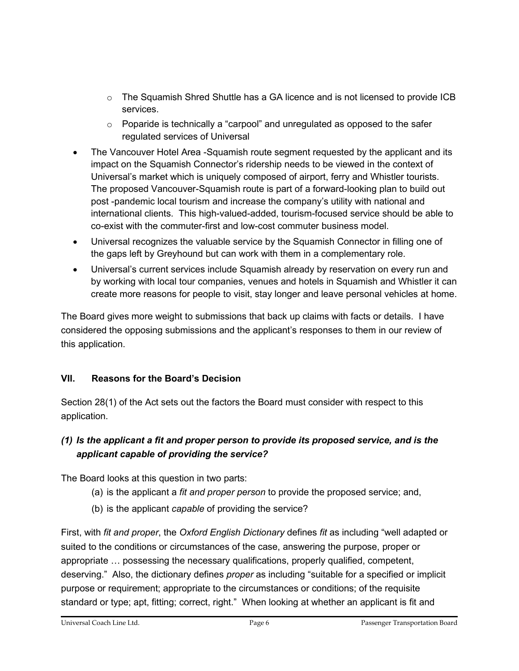- o The Squamish Shred Shuttle has a GA licence and is not licensed to provide ICB services.
- o Poparide is technically a "carpool" and unregulated as opposed to the safer regulated services of Universal
- The Vancouver Hotel Area -Squamish route segment requested by the applicant and its impact on the Squamish Connector's ridership needs to be viewed in the context of Universal's market which is uniquely composed of airport, ferry and Whistler tourists. The proposed Vancouver-Squamish route is part of a forward-looking plan to build out post -pandemic local tourism and increase the company's utility with national and international clients. This high-valued-added, tourism-focused service should be able to co-exist with the commuter-first and low-cost commuter business model.
- Universal recognizes the valuable service by the Squamish Connector in filling one of the gaps left by Greyhound but can work with them in a complementary role.
- Universal's current services include Squamish already by reservation on every run and by working with local tour companies, venues and hotels in Squamish and Whistler it can create more reasons for people to visit, stay longer and leave personal vehicles at home.

The Board gives more weight to submissions that back up claims with facts or details. I have considered the opposing submissions and the applicant's responses to them in our review of this application.

### **VII. Reasons for the Board's Decision**

Section 28(1) of the Act sets out the factors the Board must consider with respect to this application.

### *(1) Is the applicant a fit and proper person to provide its proposed service, and is the applicant capable of providing the service?*

The Board looks at this question in two parts:

- (a) is the applicant a *fit and proper person* to provide the proposed service; and,
- (b) is the applicant *capable* of providing the service?

First, with *fit and proper*, the *Oxford English Dictionary* defines *fit* as including "well adapted or suited to the conditions or circumstances of the case, answering the purpose, proper or appropriate … possessing the necessary qualifications, properly qualified, competent, deserving." Also, the dictionary defines *proper* as including "suitable for a specified or implicit purpose or requirement; appropriate to the circumstances or conditions; of the requisite standard or type; apt, fitting; correct, right." When looking at whether an applicant is fit and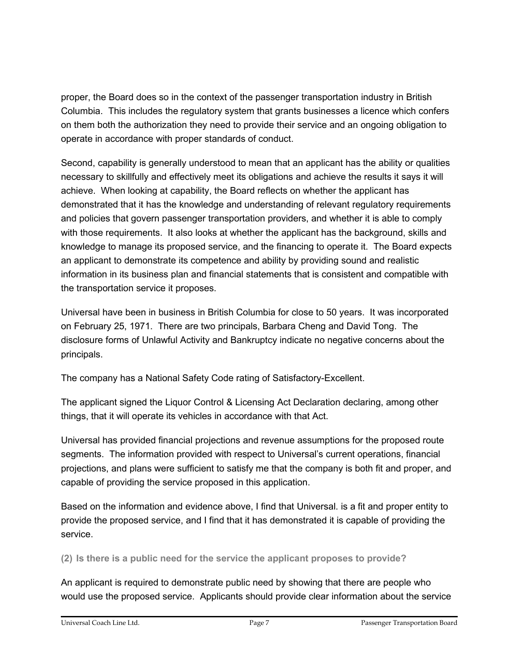proper, the Board does so in the context of the passenger transportation industry in British Columbia. This includes the regulatory system that grants businesses a licence which confers on them both the authorization they need to provide their service and an ongoing obligation to operate in accordance with proper standards of conduct.

Second, capability is generally understood to mean that an applicant has the ability or qualities necessary to skillfully and effectively meet its obligations and achieve the results it says it will achieve. When looking at capability, the Board reflects on whether the applicant has demonstrated that it has the knowledge and understanding of relevant regulatory requirements and policies that govern passenger transportation providers, and whether it is able to comply with those requirements. It also looks at whether the applicant has the background, skills and knowledge to manage its proposed service, and the financing to operate it. The Board expects an applicant to demonstrate its competence and ability by providing sound and realistic information in its business plan and financial statements that is consistent and compatible with the transportation service it proposes.

Universal have been in business in British Columbia for close to 50 years. It was incorporated on February 25, 1971. There are two principals, Barbara Cheng and David Tong. The disclosure forms of Unlawful Activity and Bankruptcy indicate no negative concerns about the principals.

The company has a National Safety Code rating of Satisfactory-Excellent.

The applicant signed the Liquor Control & Licensing Act Declaration declaring, among other things, that it will operate its vehicles in accordance with that Act.

Universal has provided financial projections and revenue assumptions for the proposed route segments. The information provided with respect to Universal's current operations, financial projections, and plans were sufficient to satisfy me that the company is both fit and proper, and capable of providing the service proposed in this application.

Based on the information and evidence above, I find that Universal. is a fit and proper entity to provide the proposed service, and I find that it has demonstrated it is capable of providing the service.

**(2) Is there is a public need for the service the applicant proposes to provide?**

An applicant is required to demonstrate public need by showing that there are people who would use the proposed service. Applicants should provide clear information about the service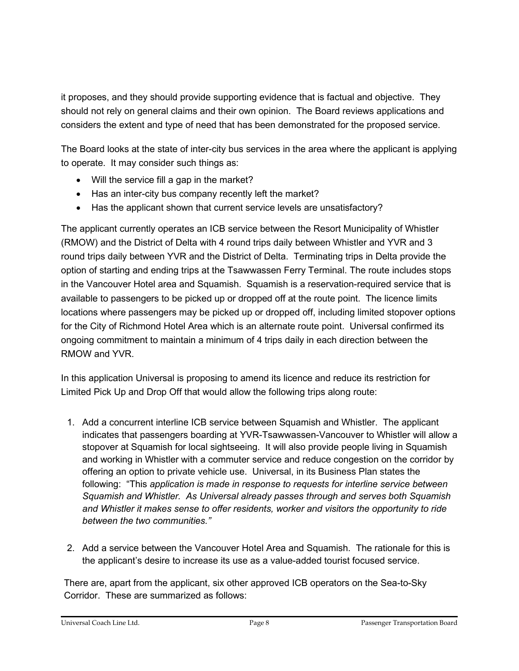it proposes, and they should provide supporting evidence that is factual and objective. They should not rely on general claims and their own opinion. The Board reviews applications and considers the extent and type of need that has been demonstrated for the proposed service.

The Board looks at the state of inter-city bus services in the area where the applicant is applying to operate. It may consider such things as:

- Will the service fill a gap in the market?
- Has an inter-city bus company recently left the market?
- Has the applicant shown that current service levels are unsatisfactory?

The applicant currently operates an ICB service between the Resort Municipality of Whistler (RMOW) and the District of Delta with 4 round trips daily between Whistler and YVR and 3 round trips daily between YVR and the District of Delta. Terminating trips in Delta provide the option of starting and ending trips at the Tsawwassen Ferry Terminal. The route includes stops in the Vancouver Hotel area and Squamish. Squamish is a reservation-required service that is available to passengers to be picked up or dropped off at the route point. The licence limits locations where passengers may be picked up or dropped off, including limited stopover options for the City of Richmond Hotel Area which is an alternate route point. Universal confirmed its ongoing commitment to maintain a minimum of 4 trips daily in each direction between the RMOW and YVR.

In this application Universal is proposing to amend its licence and reduce its restriction for Limited Pick Up and Drop Off that would allow the following trips along route:

- 1. Add a concurrent interline ICB service between Squamish and Whistler. The applicant indicates that passengers boarding at YVR-Tsawwassen-Vancouver to Whistler will allow a stopover at Squamish for local sightseeing. It will also provide people living in Squamish and working in Whistler with a commuter service and reduce congestion on the corridor by offering an option to private vehicle use. Universal, in its Business Plan states the following: "This *application is made in response to requests for interline service between Squamish and Whistler. As Universal already passes through and serves both Squamish and Whistler it makes sense to offer residents, worker and visitors the opportunity to ride between the two communities."*
- 2. Add a service between the Vancouver Hotel Area and Squamish. The rationale for this is the applicant's desire to increase its use as a value-added tourist focused service.

There are, apart from the applicant, six other approved ICB operators on the Sea-to-Sky Corridor. These are summarized as follows: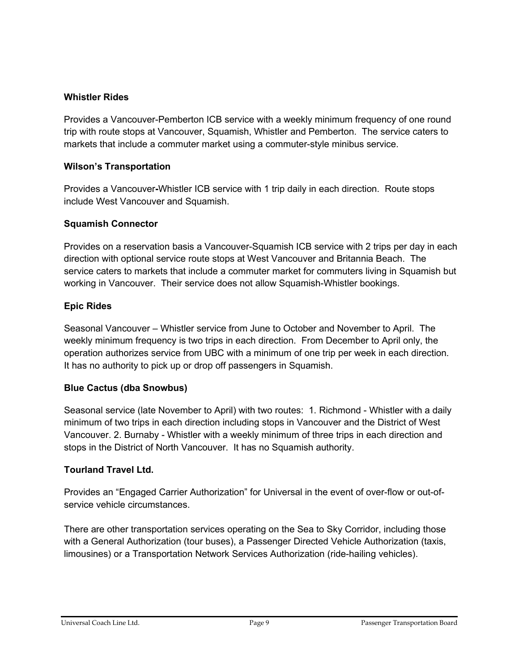### **Whistler Rides**

Provides a Vancouver-Pemberton ICB service with a weekly minimum frequency of one round trip with route stops at Vancouver, Squamish, Whistler and Pemberton. The service caters to markets that include a commuter market using a commuter-style minibus service.

### **Wilson's Transportation**

Provides a Vancouver**-**Whistler ICB service with 1 trip daily in each direction. Route stops include West Vancouver and Squamish.

### **Squamish Connector**

Provides on a reservation basis a Vancouver-Squamish ICB service with 2 trips per day in each direction with optional service route stops at West Vancouver and Britannia Beach. The service caters to markets that include a commuter market for commuters living in Squamish but working in Vancouver. Their service does not allow Squamish-Whistler bookings.

### **Epic Rides**

Seasonal Vancouver – Whistler service from June to October and November to April. The weekly minimum frequency is two trips in each direction. From December to April only, the operation authorizes service from UBC with a minimum of one trip per week in each direction. It has no authority to pick up or drop off passengers in Squamish.

### **Blue Cactus (dba Snowbus)**

Seasonal service (late November to April) with two routes: 1. Richmond - Whistler with a daily minimum of two trips in each direction including stops in Vancouver and the District of West Vancouver. 2. Burnaby - Whistler with a weekly minimum of three trips in each direction and stops in the District of North Vancouver. It has no Squamish authority.

### **Tourland Travel Ltd.**

Provides an "Engaged Carrier Authorization" for Universal in the event of over-flow or out-ofservice vehicle circumstances.

There are other transportation services operating on the Sea to Sky Corridor, including those with a General Authorization (tour buses), a Passenger Directed Vehicle Authorization (taxis, limousines) or a Transportation Network Services Authorization (ride-hailing vehicles).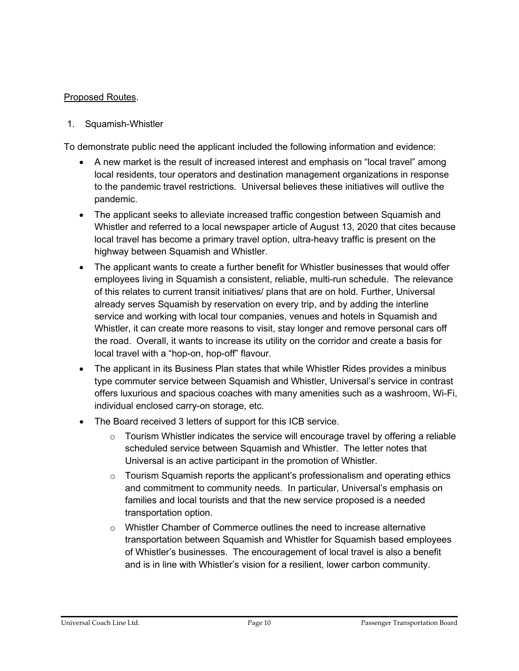### Proposed Routes.

1. Squamish-Whistler

To demonstrate public need the applicant included the following information and evidence:

- A new market is the result of increased interest and emphasis on "local travel" among local residents, tour operators and destination management organizations in response to the pandemic travel restrictions. Universal believes these initiatives will outlive the pandemic.
- The applicant seeks to alleviate increased traffic congestion between Squamish and Whistler and referred to a local newspaper article of August 13, 2020 that cites because local travel has become a primary travel option, ultra-heavy traffic is present on the highway between Squamish and Whistler.
- The applicant wants to create a further benefit for Whistler businesses that would offer employees living in Squamish a consistent, reliable, multi-run schedule. The relevance of this relates to current transit initiatives/ plans that are on hold. Further, Universal already serves Squamish by reservation on every trip, and by adding the interline service and working with local tour companies, venues and hotels in Squamish and Whistler, it can create more reasons to visit, stay longer and remove personal cars off the road. Overall, it wants to increase its utility on the corridor and create a basis for local travel with a "hop-on, hop-off" flavour.
- The applicant in its Business Plan states that while Whistler Rides provides a minibus type commuter service between Squamish and Whistler, Universal's service in contrast offers luxurious and spacious coaches with many amenities such as a washroom, Wi-Fi, individual enclosed carry-on storage, etc.
- The Board received 3 letters of support for this ICB service.
	- $\circ$  Tourism Whistler indicates the service will encourage travel by offering a reliable scheduled service between Squamish and Whistler. The letter notes that Universal is an active participant in the promotion of Whistler.
	- $\circ$  Tourism Squamish reports the applicant's professionalism and operating ethics and commitment to community needs. In particular, Universal's emphasis on families and local tourists and that the new service proposed is a needed transportation option.
	- o Whistler Chamber of Commerce outlines the need to increase alternative transportation between Squamish and Whistler for Squamish based employees of Whistler's businesses. The encouragement of local travel is also a benefit and is in line with Whistler's vision for a resilient, lower carbon community.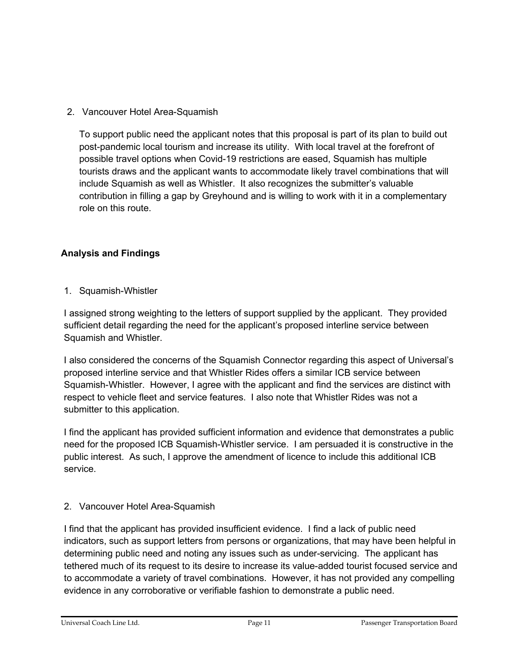2. Vancouver Hotel Area-Squamish

To support public need the applicant notes that this proposal is part of its plan to build out post-pandemic local tourism and increase its utility. With local travel at the forefront of possible travel options when Covid-19 restrictions are eased, Squamish has multiple tourists draws and the applicant wants to accommodate likely travel combinations that will include Squamish as well as Whistler. It also recognizes the submitter's valuable contribution in filling a gap by Greyhound and is willing to work with it in a complementary role on this route.

### **Analysis and Findings**

### 1. Squamish-Whistler

I assigned strong weighting to the letters of support supplied by the applicant. They provided sufficient detail regarding the need for the applicant's proposed interline service between Squamish and Whistler.

I also considered the concerns of the Squamish Connector regarding this aspect of Universal's proposed interline service and that Whistler Rides offers a similar ICB service between Squamish-Whistler. However, I agree with the applicant and find the services are distinct with respect to vehicle fleet and service features. I also note that Whistler Rides was not a submitter to this application.

I find the applicant has provided sufficient information and evidence that demonstrates a public need for the proposed ICB Squamish-Whistler service. I am persuaded it is constructive in the public interest. As such, I approve the amendment of licence to include this additional ICB service.

### 2. Vancouver Hotel Area-Squamish

I find that the applicant has provided insufficient evidence. I find a lack of public need indicators, such as support letters from persons or organizations, that may have been helpful in determining public need and noting any issues such as under-servicing. The applicant has tethered much of its request to its desire to increase its value-added tourist focused service and to accommodate a variety of travel combinations. However, it has not provided any compelling evidence in any corroborative or verifiable fashion to demonstrate a public need.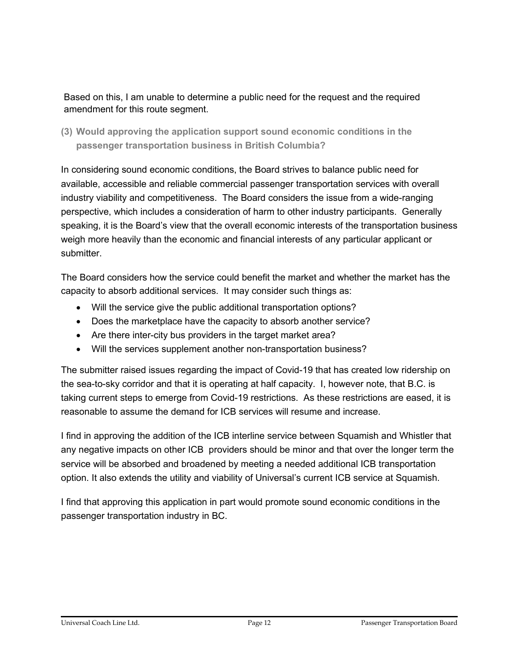Based on this, I am unable to determine a public need for the request and the required amendment for this route segment.

**(3) Would approving the application support sound economic conditions in the passenger transportation business in British Columbia?**

In considering sound economic conditions, the Board strives to balance public need for available, accessible and reliable commercial passenger transportation services with overall industry viability and competitiveness. The Board considers the issue from a wide-ranging perspective, which includes a consideration of harm to other industry participants. Generally speaking, it is the Board's view that the overall economic interests of the transportation business weigh more heavily than the economic and financial interests of any particular applicant or submitter.

The Board considers how the service could benefit the market and whether the market has the capacity to absorb additional services. It may consider such things as:

- Will the service give the public additional transportation options?
- Does the marketplace have the capacity to absorb another service?
- Are there inter-city bus providers in the target market area?
- Will the services supplement another non-transportation business?

The submitter raised issues regarding the impact of Covid-19 that has created low ridership on the sea-to-sky corridor and that it is operating at half capacity. I, however note, that B.C. is taking current steps to emerge from Covid-19 restrictions. As these restrictions are eased, it is reasonable to assume the demand for ICB services will resume and increase.

I find in approving the addition of the ICB interline service between Squamish and Whistler that any negative impacts on other ICB providers should be minor and that over the longer term the service will be absorbed and broadened by meeting a needed additional ICB transportation option. It also extends the utility and viability of Universal's current ICB service at Squamish.

I find that approving this application in part would promote sound economic conditions in the passenger transportation industry in BC.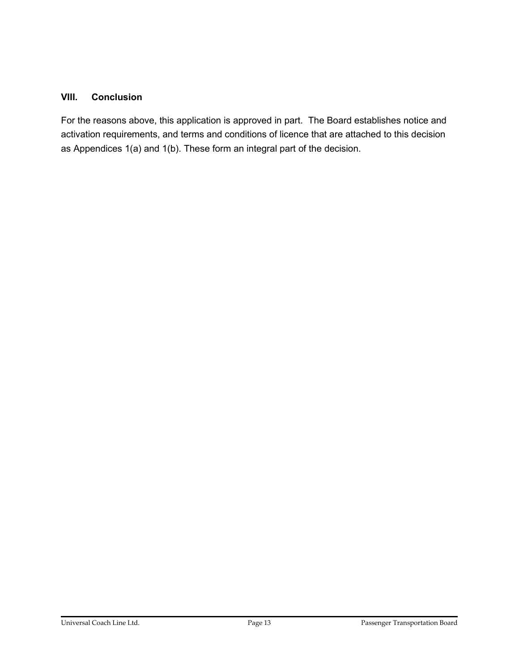### **VIII. Conclusion**

For the reasons above, this application is approved in part. The Board establishes notice and activation requirements, and terms and conditions of licence that are attached to this decision as Appendices 1(a) and 1(b). These form an integral part of the decision.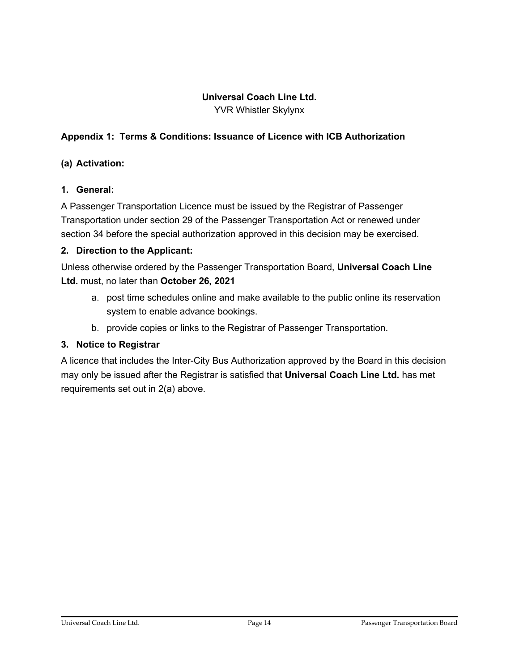### **Universal Coach Line Ltd.**

YVR Whistler Skylynx

### **Appendix 1: Terms & Conditions: Issuance of Licence with ICB Authorization**

### **(a) Activation:**

### **1. General:**

A Passenger Transportation Licence must be issued by the Registrar of Passenger Transportation under section 29 of the Passenger Transportation Act or renewed under section 34 before the special authorization approved in this decision may be exercised.

### **2. Direction to the Applicant:**

Unless otherwise ordered by the Passenger Transportation Board, **Universal Coach Line Ltd.** must, no later than **October 26, 2021**

- a. post time schedules online and make available to the public online its reservation system to enable advance bookings.
- b. provide copies or links to the Registrar of Passenger Transportation.

### **3. Notice to Registrar**

A licence that includes the Inter-City Bus Authorization approved by the Board in this decision may only be issued after the Registrar is satisfied that **Universal Coach Line Ltd.** has met requirements set out in 2(a) above.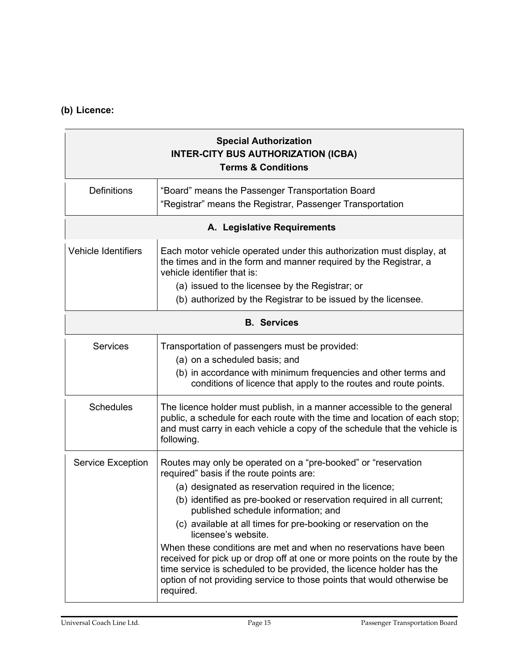### **(b) Licence:**

| <b>Special Authorization</b><br><b>INTER-CITY BUS AUTHORIZATION (ICBA)</b><br><b>Terms &amp; Conditions</b> |                                                                                                                                                                                                                                                                                                                                                                                                                                                                                                                                                                                                                                                                                                 |  |
|-------------------------------------------------------------------------------------------------------------|-------------------------------------------------------------------------------------------------------------------------------------------------------------------------------------------------------------------------------------------------------------------------------------------------------------------------------------------------------------------------------------------------------------------------------------------------------------------------------------------------------------------------------------------------------------------------------------------------------------------------------------------------------------------------------------------------|--|
| <b>Definitions</b>                                                                                          | "Board" means the Passenger Transportation Board<br>"Registrar" means the Registrar, Passenger Transportation                                                                                                                                                                                                                                                                                                                                                                                                                                                                                                                                                                                   |  |
| A. Legislative Requirements                                                                                 |                                                                                                                                                                                                                                                                                                                                                                                                                                                                                                                                                                                                                                                                                                 |  |
| <b>Vehicle Identifiers</b>                                                                                  | Each motor vehicle operated under this authorization must display, at<br>the times and in the form and manner required by the Registrar, a<br>vehicle identifier that is:<br>(a) issued to the licensee by the Registrar; or<br>(b) authorized by the Registrar to be issued by the licensee.                                                                                                                                                                                                                                                                                                                                                                                                   |  |
| <b>B.</b> Services                                                                                          |                                                                                                                                                                                                                                                                                                                                                                                                                                                                                                                                                                                                                                                                                                 |  |
| <b>Services</b>                                                                                             | Transportation of passengers must be provided:<br>(a) on a scheduled basis; and<br>(b) in accordance with minimum frequencies and other terms and<br>conditions of licence that apply to the routes and route points.                                                                                                                                                                                                                                                                                                                                                                                                                                                                           |  |
| <b>Schedules</b>                                                                                            | The licence holder must publish, in a manner accessible to the general<br>public, a schedule for each route with the time and location of each stop;<br>and must carry in each vehicle a copy of the schedule that the vehicle is<br>following.                                                                                                                                                                                                                                                                                                                                                                                                                                                 |  |
| <b>Service Exception</b>                                                                                    | Routes may only be operated on a "pre-booked" or "reservation<br>required" basis if the route points are:<br>(a) designated as reservation required in the licence;<br>(b) identified as pre-booked or reservation required in all current;<br>published schedule information; and<br>(c) available at all times for pre-booking or reservation on the<br>licensee's website.<br>When these conditions are met and when no reservations have been<br>received for pick up or drop off at one or more points on the route by the<br>time service is scheduled to be provided, the licence holder has the<br>option of not providing service to those points that would otherwise be<br>required. |  |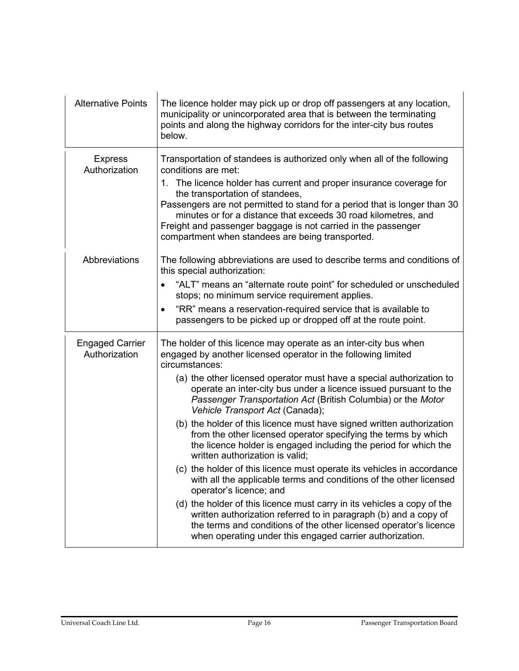| <b>Alternative Points</b>               | The licence holder may pick up or drop off passengers at any location,<br>municipality or unincorporated area that is between the terminating<br>points and along the highway corridors for the inter-city bus routes<br>below.                                                                                                                                                                                                                                                                                                                                                                                                                                                                                                                                                                                                                                                                                                                                                                                                                                                                                 |
|-----------------------------------------|-----------------------------------------------------------------------------------------------------------------------------------------------------------------------------------------------------------------------------------------------------------------------------------------------------------------------------------------------------------------------------------------------------------------------------------------------------------------------------------------------------------------------------------------------------------------------------------------------------------------------------------------------------------------------------------------------------------------------------------------------------------------------------------------------------------------------------------------------------------------------------------------------------------------------------------------------------------------------------------------------------------------------------------------------------------------------------------------------------------------|
| <b>Express</b><br>Authorization         | Transportation of standees is authorized only when all of the following<br>conditions are met:<br>1. The licence holder has current and proper insurance coverage for<br>the transportation of standees,<br>Passengers are not permitted to stand for a period that is longer than 30<br>minutes or for a distance that exceeds 30 road kilometres, and<br>Freight and passenger baggage is not carried in the passenger<br>compartment when standees are being transported.                                                                                                                                                                                                                                                                                                                                                                                                                                                                                                                                                                                                                                    |
| Abbreviations                           | The following abbreviations are used to describe terms and conditions of<br>this special authorization:<br>"ALT" means an "alternate route point" for scheduled or unscheduled<br>stops; no minimum service requirement applies.<br>"RR" means a reservation-required service that is available to<br>$\bullet$<br>passengers to be picked up or dropped off at the route point.                                                                                                                                                                                                                                                                                                                                                                                                                                                                                                                                                                                                                                                                                                                                |
| <b>Engaged Carrier</b><br>Authorization | The holder of this licence may operate as an inter-city bus when<br>engaged by another licensed operator in the following limited<br>circumstances:<br>(a) the other licensed operator must have a special authorization to<br>operate an inter-city bus under a licence issued pursuant to the<br>Passenger Transportation Act (British Columbia) or the Motor<br>Vehicle Transport Act (Canada);<br>(b) the holder of this licence must have signed written authorization<br>from the other licensed operator specifying the terms by which<br>the licence holder is engaged including the period for which the<br>written authorization is valid;<br>(c) the holder of this licence must operate its vehicles in accordance<br>with all the applicable terms and conditions of the other licensed<br>operator's licence; and<br>(d) the holder of this licence must carry in its vehicles a copy of the<br>written authorization referred to in paragraph (b) and a copy of<br>the terms and conditions of the other licensed operator's licence<br>when operating under this engaged carrier authorization. |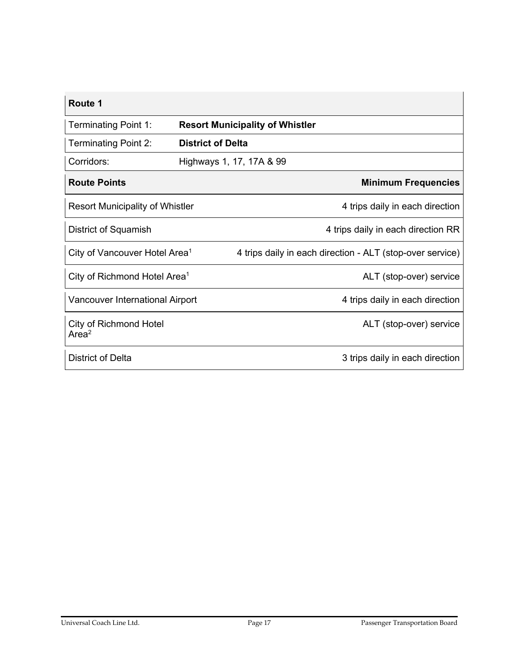| <b>Route 1</b>                              |                          |                                                           |
|---------------------------------------------|--------------------------|-----------------------------------------------------------|
| <b>Terminating Point 1:</b>                 |                          | <b>Resort Municipality of Whistler</b>                    |
| <b>Terminating Point 2:</b>                 | <b>District of Delta</b> |                                                           |
| Corridors:                                  | Highways 1, 17, 17A & 99 |                                                           |
| <b>Route Points</b>                         |                          | <b>Minimum Frequencies</b>                                |
| <b>Resort Municipality of Whistler</b>      |                          | 4 trips daily in each direction                           |
| District of Squamish                        |                          | 4 trips daily in each direction RR                        |
| City of Vancouver Hotel Area <sup>1</sup>   |                          | 4 trips daily in each direction - ALT (stop-over service) |
| City of Richmond Hotel Area <sup>1</sup>    |                          | ALT (stop-over) service                                   |
| <b>Vancouver International Airport</b>      |                          | 4 trips daily in each direction                           |
| City of Richmond Hotel<br>Area <sup>2</sup> |                          | ALT (stop-over) service                                   |
| <b>District of Delta</b>                    |                          | 3 trips daily in each direction                           |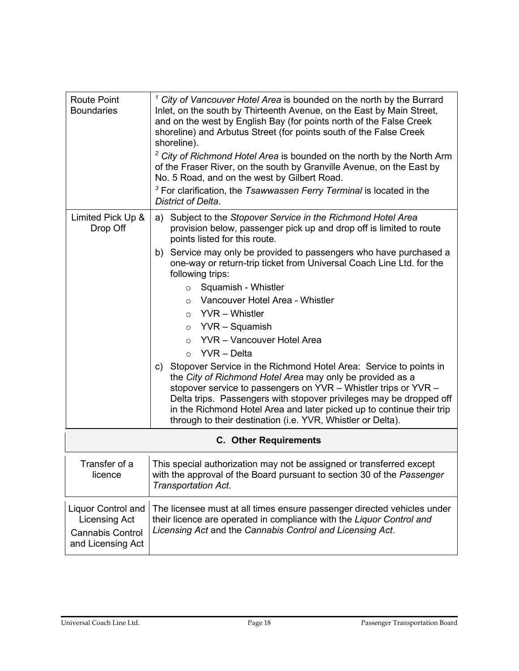| <b>Route Point</b><br><b>Boundaries</b>                                                           | $1$ City of Vancouver Hotel Area is bounded on the north by the Burrard<br>Inlet, on the south by Thirteenth Avenue, on the East by Main Street,<br>and on the west by English Bay (for points north of the False Creek<br>shoreline) and Arbutus Street (for points south of the False Creek<br>shoreline).<br><sup>2</sup> City of Richmond Hotel Area is bounded on the north by the North Arm<br>of the Fraser River, on the south by Granville Avenue, on the East by<br>No. 5 Road, and on the west by Gilbert Road.<br><sup>3</sup> For clarification, the Tsawwassen Ferry Terminal is located in the<br>District of Delta.                                                                                                                                                                                                                                                                           |  |
|---------------------------------------------------------------------------------------------------|---------------------------------------------------------------------------------------------------------------------------------------------------------------------------------------------------------------------------------------------------------------------------------------------------------------------------------------------------------------------------------------------------------------------------------------------------------------------------------------------------------------------------------------------------------------------------------------------------------------------------------------------------------------------------------------------------------------------------------------------------------------------------------------------------------------------------------------------------------------------------------------------------------------|--|
| Limited Pick Up &<br>Drop Off                                                                     | Subject to the Stopover Service in the Richmond Hotel Area<br>a)<br>provision below, passenger pick up and drop off is limited to route<br>points listed for this route.<br>b) Service may only be provided to passengers who have purchased a<br>one-way or return-trip ticket from Universal Coach Line Ltd. for the<br>following trips:<br>Squamish - Whistler<br>$\circ$<br>Vancouver Hotel Area - Whistler<br>$\circ$<br>$\circ$ YVR - Whistler<br>$\circ$ YVR – Squamish<br><b>YVR</b> - Vancouver Hotel Area<br>$\circ$<br>$\circ$ YVR – Delta<br>c) Stopover Service in the Richmond Hotel Area: Service to points in<br>the City of Richmond Hotel Area may only be provided as a<br>stopover service to passengers on YVR - Whistler trips or YVR -<br>Delta trips. Passengers with stopover privileges may be dropped off<br>in the Richmond Hotel Area and later picked up to continue their trip |  |
| through to their destination (i.e. YVR, Whistler or Delta).<br><b>C. Other Requirements</b>       |                                                                                                                                                                                                                                                                                                                                                                                                                                                                                                                                                                                                                                                                                                                                                                                                                                                                                                               |  |
| Transfer of a<br>licence                                                                          | This special authorization may not be assigned or transferred except<br>with the approval of the Board pursuant to section 30 of the Passenger<br>Transportation Act.                                                                                                                                                                                                                                                                                                                                                                                                                                                                                                                                                                                                                                                                                                                                         |  |
| <b>Liquor Control and</b><br><b>Licensing Act</b><br><b>Cannabis Control</b><br>and Licensing Act | The licensee must at all times ensure passenger directed vehicles under<br>their licence are operated in compliance with the Liquor Control and<br>Licensing Act and the Cannabis Control and Licensing Act.                                                                                                                                                                                                                                                                                                                                                                                                                                                                                                                                                                                                                                                                                                  |  |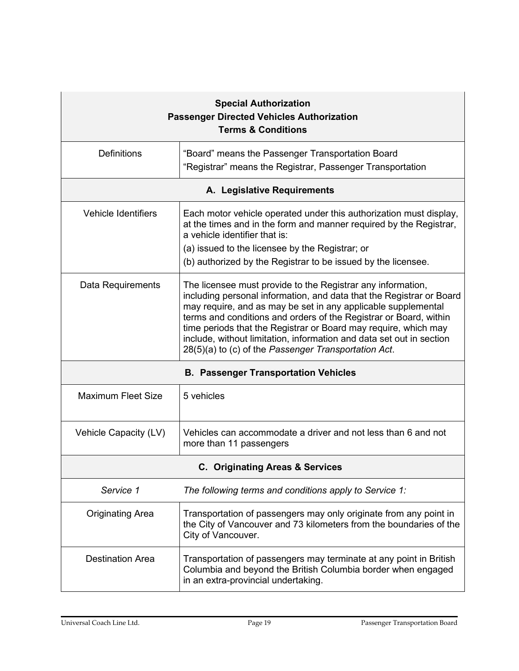| <b>Special Authorization</b><br><b>Passenger Directed Vehicles Authorization</b><br><b>Terms &amp; Conditions</b> |                                                                                                                                                                                                                                                                                                                                                                                                                                                                              |  |  |  |
|-------------------------------------------------------------------------------------------------------------------|------------------------------------------------------------------------------------------------------------------------------------------------------------------------------------------------------------------------------------------------------------------------------------------------------------------------------------------------------------------------------------------------------------------------------------------------------------------------------|--|--|--|
| <b>Definitions</b>                                                                                                | "Board" means the Passenger Transportation Board<br>"Registrar" means the Registrar, Passenger Transportation                                                                                                                                                                                                                                                                                                                                                                |  |  |  |
| A. Legislative Requirements                                                                                       |                                                                                                                                                                                                                                                                                                                                                                                                                                                                              |  |  |  |
| <b>Vehicle Identifiers</b>                                                                                        | Each motor vehicle operated under this authorization must display,<br>at the times and in the form and manner required by the Registrar,<br>a vehicle identifier that is:<br>(a) issued to the licensee by the Registrar; or<br>(b) authorized by the Registrar to be issued by the licensee.                                                                                                                                                                                |  |  |  |
| Data Requirements                                                                                                 | The licensee must provide to the Registrar any information,<br>including personal information, and data that the Registrar or Board<br>may require, and as may be set in any applicable supplemental<br>terms and conditions and orders of the Registrar or Board, within<br>time periods that the Registrar or Board may require, which may<br>include, without limitation, information and data set out in section<br>28(5)(a) to (c) of the Passenger Transportation Act. |  |  |  |
| <b>B. Passenger Transportation Vehicles</b>                                                                       |                                                                                                                                                                                                                                                                                                                                                                                                                                                                              |  |  |  |
| <b>Maximum Fleet Size</b>                                                                                         | 5 vehicles                                                                                                                                                                                                                                                                                                                                                                                                                                                                   |  |  |  |
| Vehicle Capacity (LV)                                                                                             | Vehicles can accommodate a driver and not less than 6 and not<br>more than 11 passengers                                                                                                                                                                                                                                                                                                                                                                                     |  |  |  |
| C. Originating Areas & Services                                                                                   |                                                                                                                                                                                                                                                                                                                                                                                                                                                                              |  |  |  |
| Service 1                                                                                                         | The following terms and conditions apply to Service 1:                                                                                                                                                                                                                                                                                                                                                                                                                       |  |  |  |
| <b>Originating Area</b>                                                                                           | Transportation of passengers may only originate from any point in<br>the City of Vancouver and 73 kilometers from the boundaries of the<br>City of Vancouver.                                                                                                                                                                                                                                                                                                                |  |  |  |
| <b>Destination Area</b>                                                                                           | Transportation of passengers may terminate at any point in British<br>Columbia and beyond the British Columbia border when engaged<br>in an extra-provincial undertaking.                                                                                                                                                                                                                                                                                                    |  |  |  |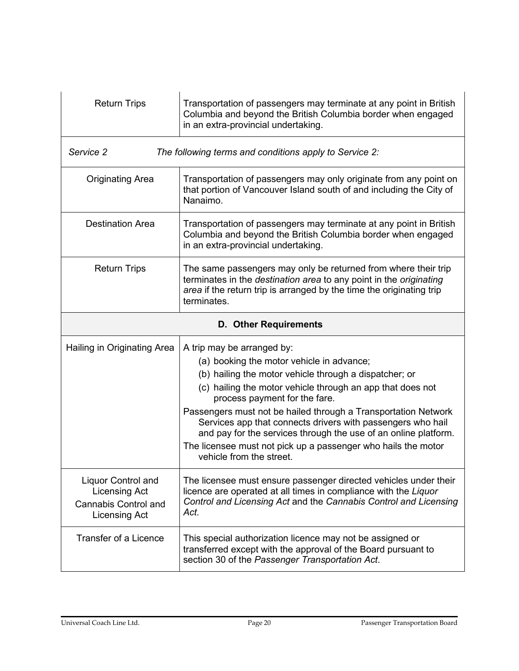| <b>Return Trips</b>                                                                                      | Transportation of passengers may terminate at any point in British<br>Columbia and beyond the British Columbia border when engaged<br>in an extra-provincial undertaking.                                                                                                                                                                                                                                                                                                                                                         |  |
|----------------------------------------------------------------------------------------------------------|-----------------------------------------------------------------------------------------------------------------------------------------------------------------------------------------------------------------------------------------------------------------------------------------------------------------------------------------------------------------------------------------------------------------------------------------------------------------------------------------------------------------------------------|--|
| Service 2<br>The following terms and conditions apply to Service 2:                                      |                                                                                                                                                                                                                                                                                                                                                                                                                                                                                                                                   |  |
| <b>Originating Area</b>                                                                                  | Transportation of passengers may only originate from any point on<br>that portion of Vancouver Island south of and including the City of<br>Nanaimo.                                                                                                                                                                                                                                                                                                                                                                              |  |
| <b>Destination Area</b>                                                                                  | Transportation of passengers may terminate at any point in British<br>Columbia and beyond the British Columbia border when engaged<br>in an extra-provincial undertaking.                                                                                                                                                                                                                                                                                                                                                         |  |
| <b>Return Trips</b>                                                                                      | The same passengers may only be returned from where their trip<br>terminates in the destination area to any point in the originating<br>area if the return trip is arranged by the time the originating trip<br>terminates.                                                                                                                                                                                                                                                                                                       |  |
| <b>D. Other Requirements</b>                                                                             |                                                                                                                                                                                                                                                                                                                                                                                                                                                                                                                                   |  |
| Hailing in Originating Area                                                                              | A trip may be arranged by:<br>(a) booking the motor vehicle in advance;<br>(b) hailing the motor vehicle through a dispatcher; or<br>(c) hailing the motor vehicle through an app that does not<br>process payment for the fare.<br>Passengers must not be hailed through a Transportation Network<br>Services app that connects drivers with passengers who hail<br>and pay for the services through the use of an online platform.<br>The licensee must not pick up a passenger who hails the motor<br>vehicle from the street. |  |
| <b>Liquor Control and</b><br><b>Licensing Act</b><br><b>Cannabis Control and</b><br><b>Licensing Act</b> | The licensee must ensure passenger directed vehicles under their<br>licence are operated at all times in compliance with the Liquor<br>Control and Licensing Act and the Cannabis Control and Licensing<br>Act.                                                                                                                                                                                                                                                                                                                   |  |
| <b>Transfer of a Licence</b>                                                                             | This special authorization licence may not be assigned or<br>transferred except with the approval of the Board pursuant to<br>section 30 of the Passenger Transportation Act.                                                                                                                                                                                                                                                                                                                                                     |  |